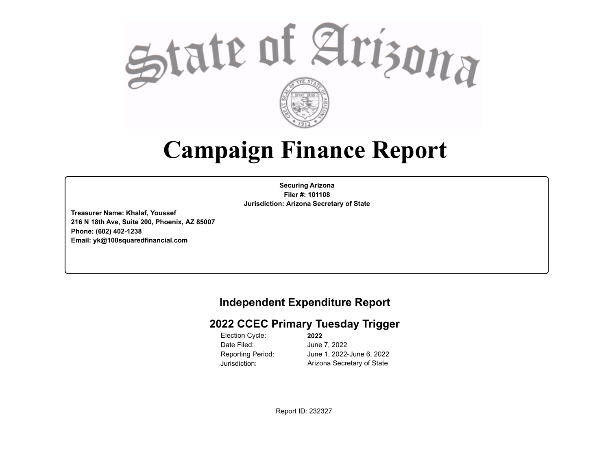

## **Campaign Finance Report**

**Securing Arizona Filer #: 101108 Jurisdiction: Arizona Secretary of State**

**Treasurer Name: Khalaf, Youssef 216 N 18th Ave, Suite 200, Phoenix, AZ 85007 Phone: (602) 402-1238 Email: yk@100squaredfinancial.com**

## **Independent Expenditure Report**

## **2022 CCEC Primary Tuesday Trigger**

Election Cycle: Date Filed: Jurisdiction: Arizona Secretary of State

**2022** June 7, 2022 Reporting Period: June 1, 2022-June 6, 2022

Report ID: 232327